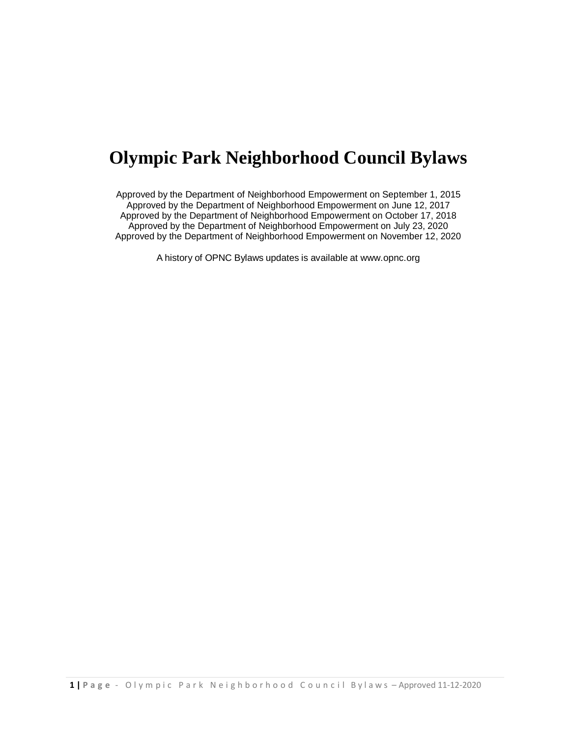# **Olympic Park Neighborhood Council Bylaws**

Approved by the Department of Neighborhood Empowerment on September 1, 2015 Approved by the Department of Neighborhood Empowerment on June 12, 2017 Approved by the Department of Neighborhood Empowerment on October 17, 2018 Approved by the Department of Neighborhood Empowerment on July 23, 2020 Approved by the Department of Neighborhood Empowerment on November 12, 2020

A history of OPNC Bylaws updates is available at www.opnc.org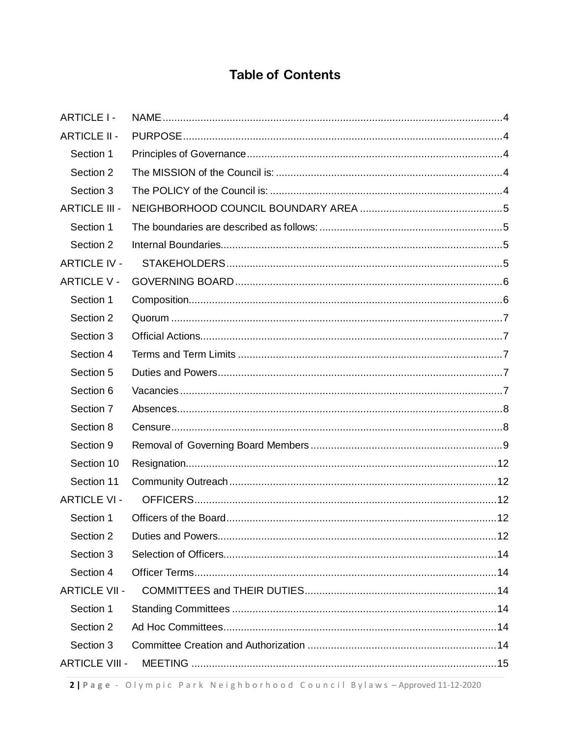# **Table of Contents**

| <b>ARTICLE I-</b>     |  |
|-----------------------|--|
| <b>ARTICLE II -</b>   |  |
| Section 1             |  |
| Section 2             |  |
| Section 3             |  |
| <b>ARTICLE III -</b>  |  |
| Section 1             |  |
| Section 2             |  |
| <b>ARTICLE IV -</b>   |  |
| <b>ARTICLE V -</b>    |  |
| Section 1             |  |
| Section 2             |  |
| Section 3             |  |
| Section 4             |  |
| Section 5             |  |
| Section 6             |  |
| Section 7             |  |
| Section 8             |  |
| Section 9             |  |
| Section 10            |  |
| Section 11            |  |
| <b>ARTICLE VI -</b>   |  |
| Section 1             |  |
| Section 2             |  |
| Section 3             |  |
| Section 4             |  |
| <b>ARTICLE VII -</b>  |  |
| Section 1             |  |
| Section 2             |  |
| Section 3             |  |
| <b>ARTICLE VIII -</b> |  |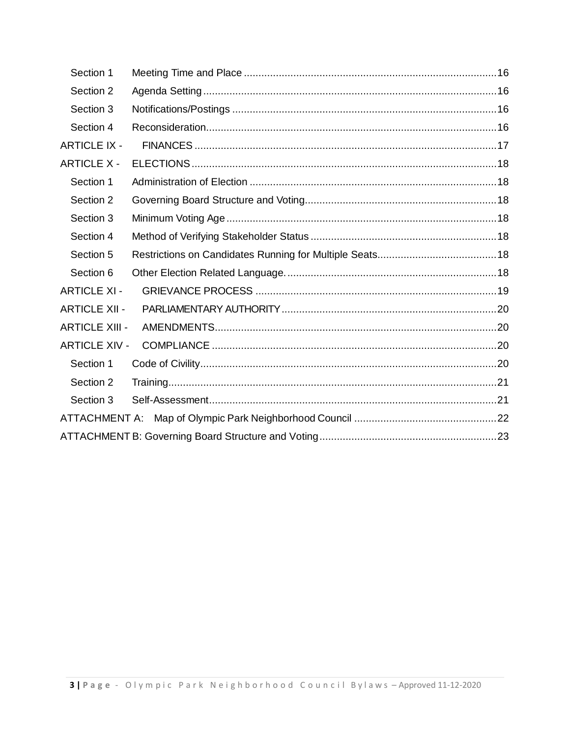| Section 1             |  |
|-----------------------|--|
| Section 2             |  |
| Section 3             |  |
| Section 4             |  |
| <b>ARTICLE IX -</b>   |  |
| <b>ARTICLE X -</b>    |  |
| Section 1             |  |
| Section 2             |  |
| Section 3             |  |
| Section 4             |  |
| Section 5             |  |
| Section 6             |  |
| <b>ARTICLE XI -</b>   |  |
| <b>ARTICLE XII -</b>  |  |
| <b>ARTICLE XIII -</b> |  |
| <b>ARTICLE XIV -</b>  |  |
| Section 1             |  |
| Section 2             |  |
| Section 3             |  |
|                       |  |
|                       |  |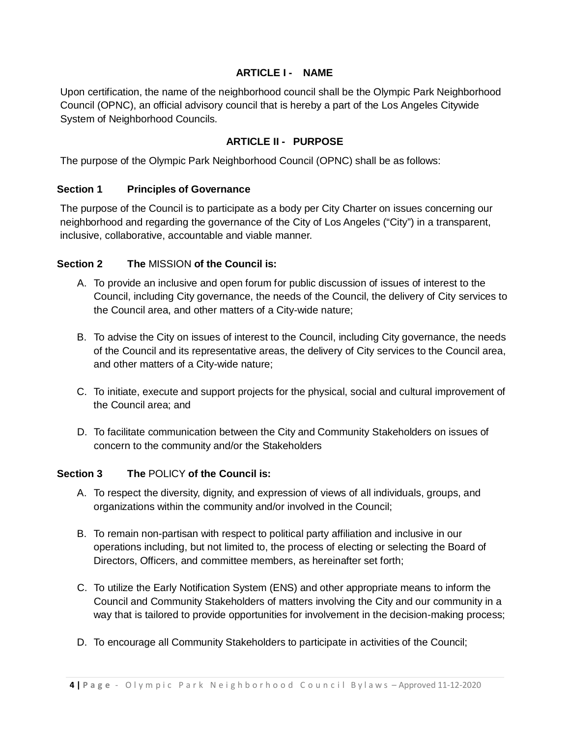#### **ARTICLE I - NAME**

<span id="page-3-0"></span>Upon certification, the name of the neighborhood council shall be the Olympic Park Neighborhood Council (OPNC), an official advisory council that is hereby a part of the Los Angeles Citywide System of Neighborhood Councils.

## **ARTICLE II - PURPOSE**

<span id="page-3-1"></span>The purpose of the Olympic Park Neighborhood Council (OPNC) shall be as follows:

#### <span id="page-3-2"></span>**Section 1 Principles of Governance**

The purpose of the Council is to participate as a body per City Charter on issues concerning our neighborhood and regarding the governance of the City of Los Angeles ("City") in a transparent, inclusive, collaborative, accountable and viable manner.

#### <span id="page-3-3"></span>**Section 2 The** MISSION **of the Council is:**

- A. To provide an inclusive and open forum for public discussion of issues of interest to the Council, including City governance, the needs of the Council, the delivery of City services to the Council area, and other matters of a City-wide nature;
- B. To advise the City on issues of interest to the Council, including City governance, the needs of the Council and its representative areas, the delivery of City services to the Council area, and other matters of a City-wide nature;
- C. To initiate, execute and support projects for the physical, social and cultural improvement of the Council area; and
- D. To facilitate communication between the City and Community Stakeholders on issues of concern to the community and/or the Stakeholders

#### <span id="page-3-4"></span>**Section 3 The** POLICY **of the Council is:**

- A. To respect the diversity, dignity, and expression of views of all individuals, groups, and organizations within the community and/or involved in the Council;
- B. To remain non-partisan with respect to political party affiliation and inclusive in our operations including, but not limited to, the process of electing or selecting the Board of Directors, Officers, and committee members, as hereinafter set forth;
- C. To utilize the Early Notification System (ENS) and other appropriate means to inform the Council and Community Stakeholders of matters involving the City and our community in a way that is tailored to provide opportunities for involvement in the decision-making process;
- D. To encourage all Community Stakeholders to participate in activities of the Council;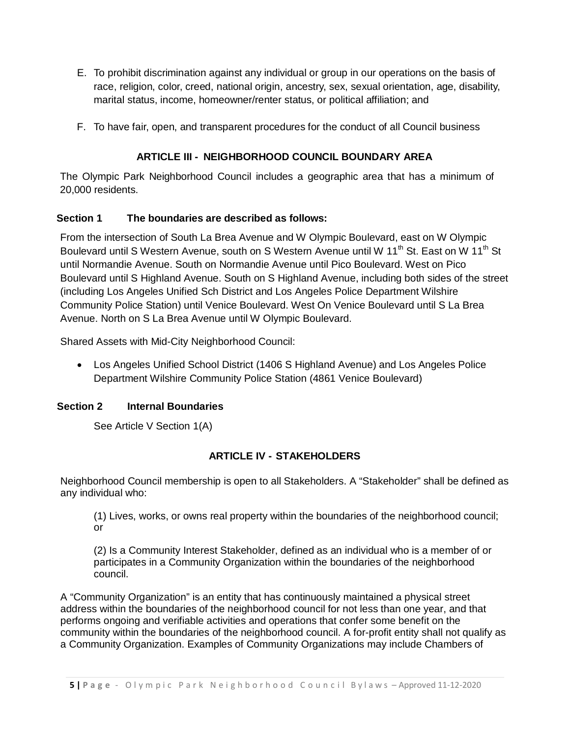- E. To prohibit discrimination against any individual or group in our operations on the basis of race, religion, color, creed, national origin, ancestry, sex, sexual orientation, age, disability, marital status, income, homeowner/renter status, or political affiliation; and
- F. To have fair, open, and transparent procedures for the conduct of all Council business

# **ARTICLE III - NEIGHBORHOOD COUNCIL BOUNDARY AREA**

<span id="page-4-0"></span>The Olympic Park Neighborhood Council includes a geographic area that has a minimum of 20,000 residents.

## <span id="page-4-1"></span>**Section 1 The boundaries are described as follows:**

From the intersection of South La Brea Avenue and W Olympic Boulevard, east on W Olympic Boulevard until S Western Avenue, south on S Western Avenue until W 11<sup>th</sup> St. East on W 11<sup>th</sup> St until Normandie Avenue. South on Normandie Avenue until Pico Boulevard. West on Pico Boulevard until S Highland Avenue. South on S Highland Avenue, including both sides of the street (including Los Angeles Unified Sch District and Los Angeles Police Department Wilshire Community Police Station) until Venice Boulevard. West On Venice Boulevard until S La Brea Avenue. North on S La Brea Avenue until W Olympic Boulevard.

Shared Assets with Mid-City Neighborhood Council:

• Los Angeles Unified School District (1406 S Highland Avenue) and Los Angeles Police Department Wilshire Community Police Station (4861 Venice Boulevard)

## <span id="page-4-2"></span>**Section 2 Internal Boundaries**

See Article V Section 1(A)

## **ARTICLE IV - STAKEHOLDERS**

<span id="page-4-3"></span>Neighborhood Council membership is open to all Stakeholders. A "Stakeholder" shall be defined as any individual who:

(1) Lives, works, or owns real property within the boundaries of the neighborhood council; or

(2) Is a Community Interest Stakeholder, defined as an individual who is a member of or participates in a Community Organization within the boundaries of the neighborhood council.

A "Community Organization" is an entity that has continuously maintained a physical street address within the boundaries of the neighborhood council for not less than one year, and that performs ongoing and verifiable activities and operations that confer some benefit on the community within the boundaries of the neighborhood council. A for-profit entity shall not qualify as a Community Organization. Examples of Community Organizations may include Chambers of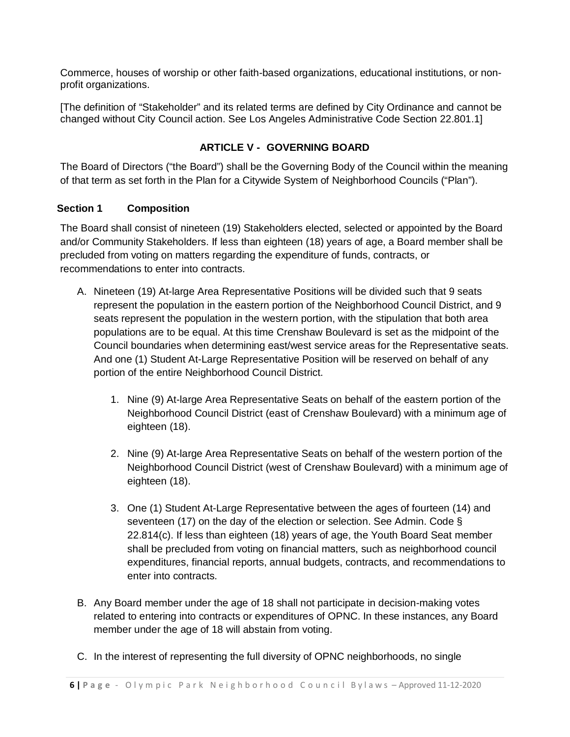Commerce, houses of worship or other faith-based organizations, educational institutions, or nonprofit organizations.

[The definition of "Stakeholder" and its related terms are defined by City Ordinance and cannot be changed without City Council action. See Los Angeles Administrative Code Section 22.801.1]

## **ARTICLE V - GOVERNING BOARD**

<span id="page-5-0"></span>The Board of Directors ("the Board") shall be the Governing Body of the Council within the meaning of that term as set forth in the Plan for a Citywide System of Neighborhood Councils ("Plan").

#### <span id="page-5-1"></span>**Section 1 Composition**

The Board shall consist of nineteen (19) Stakeholders elected, selected or appointed by the Board and/or Community Stakeholders. If less than eighteen (18) years of age, a Board member shall be precluded from voting on matters regarding the expenditure of funds, contracts, or recommendations to enter into contracts.

- A. Nineteen (19) At-large Area Representative Positions will be divided such that 9 seats represent the population in the eastern portion of the Neighborhood Council District, and 9 seats represent the population in the western portion, with the stipulation that both area populations are to be equal. At this time Crenshaw Boulevard is set as the midpoint of the Council boundaries when determining east/west service areas for the Representative seats. And one (1) Student At-Large Representative Position will be reserved on behalf of any portion of the entire Neighborhood Council District.
	- 1. Nine (9) At-large Area Representative Seats on behalf of the eastern portion of the Neighborhood Council District (east of Crenshaw Boulevard) with a minimum age of eighteen (18).
	- 2. Nine (9) At-large Area Representative Seats on behalf of the western portion of the Neighborhood Council District (west of Crenshaw Boulevard) with a minimum age of eighteen (18).
	- 3. One (1) Student At-Large Representative between the ages of fourteen (14) and seventeen (17) on the day of the election or selection. See Admin. Code § 22.814(c). If less than eighteen (18) years of age, the Youth Board Seat member shall be precluded from voting on financial matters, such as neighborhood council expenditures, financial reports, annual budgets, contracts, and recommendations to enter into contracts.
- B. Any Board member under the age of 18 shall not participate in decision-making votes related to entering into contracts or expenditures of OPNC. In these instances, any Board member under the age of 18 will abstain from voting.
- C. In the interest of representing the full diversity of OPNC neighborhoods, no single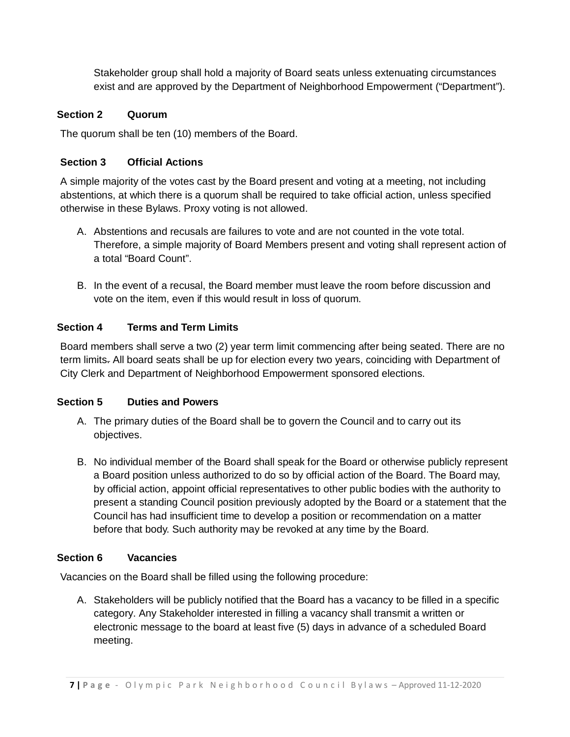Stakeholder group shall hold a majority of Board seats unless extenuating circumstances exist and are approved by the Department of Neighborhood Empowerment ("Department").

## <span id="page-6-0"></span>**Section 2 Quorum**

The quorum shall be ten (10) members of the Board.

# <span id="page-6-1"></span>**Section 3 Official Actions**

A simple majority of the votes cast by the Board present and voting at a meeting, not including abstentions, at which there is a quorum shall be required to take official action, unless specified otherwise in these Bylaws. Proxy voting is not allowed.

- A. Abstentions and recusals are failures to vote and are not counted in the vote total. Therefore, a simple majority of Board Members present and voting shall represent action of a total "Board Count".
- B. In the event of a recusal, the Board member must leave the room before discussion and vote on the item, even if this would result in loss of quorum.

# <span id="page-6-2"></span>**Section 4 Terms and Term Limits**

Board members shall serve a two (2) year term limit commencing after being seated. There are no term limits. All board seats shall be up for election every two years, coinciding with Department of City Clerk and Department of Neighborhood Empowerment sponsored elections.

## <span id="page-6-3"></span>**Section 5 Duties and Powers**

- A. The primary duties of the Board shall be to govern the Council and to carry out its objectives.
- B. No individual member of the Board shall speak for the Board or otherwise publicly represent a Board position unless authorized to do so by official action of the Board. The Board may, by official action, appoint official representatives to other public bodies with the authority to present a standing Council position previously adopted by the Board or a statement that the Council has had insufficient time to develop a position or recommendation on a matter before that body. Such authority may be revoked at any time by the Board.

# <span id="page-6-4"></span>**Section 6 Vacancies**

Vacancies on the Board shall be filled using the following procedure:

A. Stakeholders will be publicly notified that the Board has a vacancy to be filled in a specific category. Any Stakeholder interested in filling a vacancy shall transmit a written or electronic message to the board at least five (5) days in advance of a scheduled Board meeting.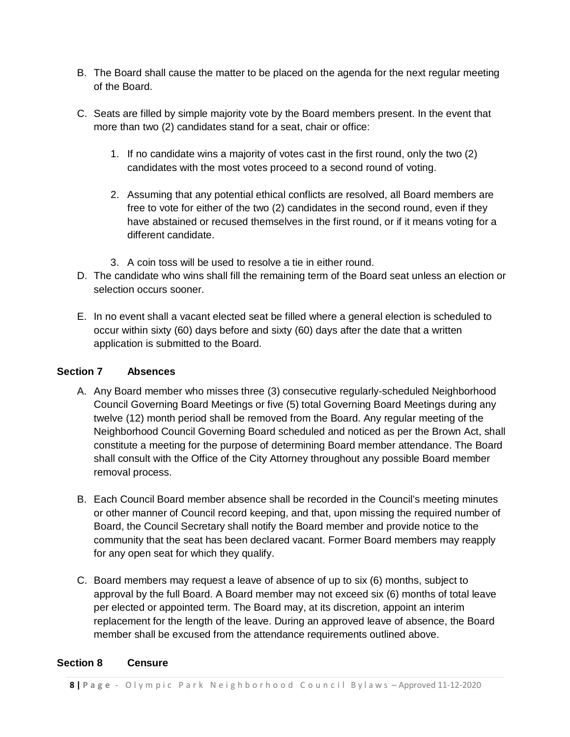- B. The Board shall cause the matter to be placed on the agenda for the next regular meeting of the Board.
- C. Seats are filled by simple majority vote by the Board members present. In the event that more than two (2) candidates stand for a seat, chair or office:
	- 1. If no candidate wins a majority of votes cast in the first round, only the two (2) candidates with the most votes proceed to a second round of voting.
	- 2. Assuming that any potential ethical conflicts are resolved, all Board members are free to vote for either of the two (2) candidates in the second round, even if they have abstained or recused themselves in the first round, or if it means voting for a different candidate.
	- 3. A coin toss will be used to resolve a tie in either round.
- D. The candidate who wins shall fill the remaining term of the Board seat unless an election or selection occurs sooner.
- E. In no event shall a vacant elected seat be filled where a general election is scheduled to occur within sixty (60) days before and sixty (60) days after the date that a written application is submitted to the Board.

#### <span id="page-7-0"></span>**Section 7 Absences**

- A. Any Board member who misses three (3) consecutive regularly-scheduled Neighborhood Council Governing Board Meetings or five (5) total Governing Board Meetings during any twelve (12) month period shall be removed from the Board. Any regular meeting of the Neighborhood Council Governing Board scheduled and noticed as per the Brown Act, shall constitute a meeting for the purpose of determining Board member attendance. The Board shall consult with the Office of the City Attorney throughout any possible Board member removal process.
- B. Each Council Board member absence shall be recorded in the Council's meeting minutes or other manner of Council record keeping, and that, upon missing the required number of Board, the Council Secretary shall notify the Board member and provide notice to the community that the seat has been declared vacant. Former Board members may reapply for any open seat for which they qualify.
- C. Board members may request a leave of absence of up to six (6) months, subject to approval by the full Board. A Board member may not exceed six (6) months of total leave per elected or appointed term. The Board may, at its discretion, appoint an interim replacement for the length of the leave. During an approved leave of absence, the Board member shall be excused from the attendance requirements outlined above.

#### <span id="page-7-1"></span>**Section 8 Censure**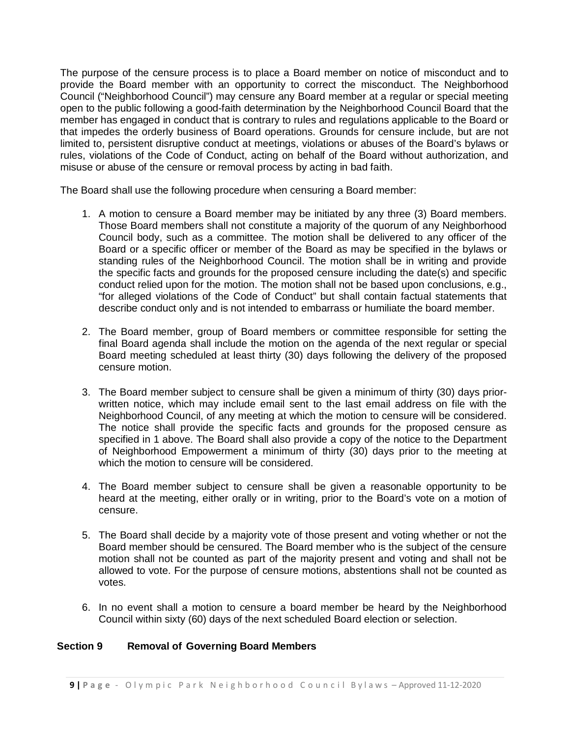The purpose of the censure process is to place a Board member on notice of misconduct and to provide the Board member with an opportunity to correct the misconduct. The Neighborhood Council ("Neighborhood Council") may censure any Board member at a regular or special meeting open to the public following a good-faith determination by the Neighborhood Council Board that the member has engaged in conduct that is contrary to rules and regulations applicable to the Board or that impedes the orderly business of Board operations. Grounds for censure include, but are not limited to, persistent disruptive conduct at meetings, violations or abuses of the Board's bylaws or rules, violations of the Code of Conduct, acting on behalf of the Board without authorization, and misuse or abuse of the censure or removal process by acting in bad faith.

The Board shall use the following procedure when censuring a Board member:

- 1. A motion to censure a Board member may be initiated by any three (3) Board members. Those Board members shall not constitute a majority of the quorum of any Neighborhood Council body, such as a committee. The motion shall be delivered to any officer of the Board or a specific officer or member of the Board as may be specified in the bylaws or standing rules of the Neighborhood Council. The motion shall be in writing and provide the specific facts and grounds for the proposed censure including the date(s) and specific conduct relied upon for the motion. The motion shall not be based upon conclusions, e.g., "for alleged violations of the Code of Conduct" but shall contain factual statements that describe conduct only and is not intended to embarrass or humiliate the board member.
- 2. The Board member, group of Board members or committee responsible for setting the final Board agenda shall include the motion on the agenda of the next regular or special Board meeting scheduled at least thirty (30) days following the delivery of the proposed censure motion.
- 3. The Board member subject to censure shall be given a minimum of thirty (30) days priorwritten notice, which may include email sent to the last email address on file with the Neighborhood Council, of any meeting at which the motion to censure will be considered. The notice shall provide the specific facts and grounds for the proposed censure as specified in 1 above. The Board shall also provide a copy of the notice to the Department of Neighborhood Empowerment a minimum of thirty (30) days prior to the meeting at which the motion to censure will be considered.
- 4. The Board member subject to censure shall be given a reasonable opportunity to be heard at the meeting, either orally or in writing, prior to the Board's vote on a motion of censure.
- 5. The Board shall decide by a majority vote of those present and voting whether or not the Board member should be censured. The Board member who is the subject of the censure motion shall not be counted as part of the majority present and voting and shall not be allowed to vote. For the purpose of censure motions, abstentions shall not be counted as votes.
- 6. In no event shall a motion to censure a board member be heard by the Neighborhood Council within sixty (60) days of the next scheduled Board election or selection.

#### <span id="page-8-0"></span>**Section 9 Removal of Governing Board Members**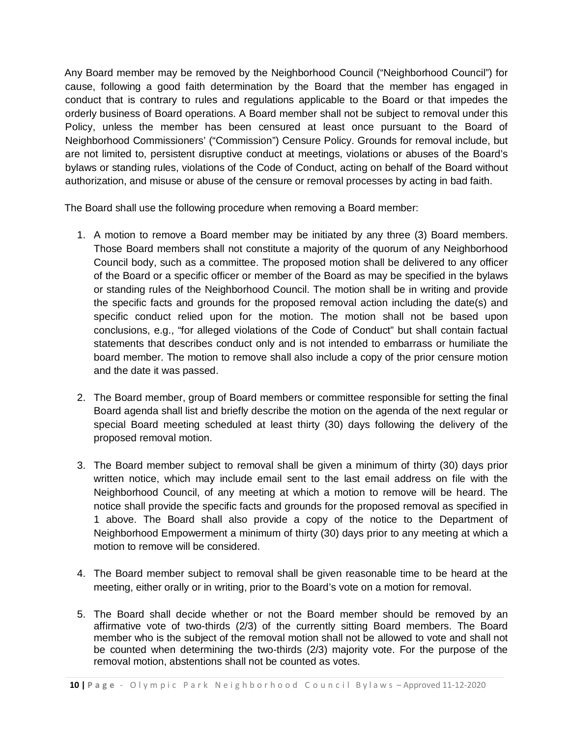Any Board member may be removed by the Neighborhood Council ("Neighborhood Council") for cause, following a good faith determination by the Board that the member has engaged in conduct that is contrary to rules and regulations applicable to the Board or that impedes the orderly business of Board operations. A Board member shall not be subject to removal under this Policy, unless the member has been censured at least once pursuant to the Board of Neighborhood Commissioners' ("Commission") Censure Policy. Grounds for removal include, but are not limited to, persistent disruptive conduct at meetings, violations or abuses of the Board's bylaws or standing rules, violations of the Code of Conduct, acting on behalf of the Board without authorization, and misuse or abuse of the censure or removal processes by acting in bad faith.

The Board shall use the following procedure when removing a Board member:

- 1. A motion to remove a Board member may be initiated by any three (3) Board members. Those Board members shall not constitute a majority of the quorum of any Neighborhood Council body, such as a committee. The proposed motion shall be delivered to any officer of the Board or a specific officer or member of the Board as may be specified in the bylaws or standing rules of the Neighborhood Council. The motion shall be in writing and provide the specific facts and grounds for the proposed removal action including the date(s) and specific conduct relied upon for the motion. The motion shall not be based upon conclusions, e.g., "for alleged violations of the Code of Conduct" but shall contain factual statements that describes conduct only and is not intended to embarrass or humiliate the board member. The motion to remove shall also include a copy of the prior censure motion and the date it was passed.
- 2. The Board member, group of Board members or committee responsible for setting the final Board agenda shall list and briefly describe the motion on the agenda of the next regular or special Board meeting scheduled at least thirty (30) days following the delivery of the proposed removal motion.
- 3. The Board member subject to removal shall be given a minimum of thirty (30) days prior written notice, which may include email sent to the last email address on file with the Neighborhood Council, of any meeting at which a motion to remove will be heard. The notice shall provide the specific facts and grounds for the proposed removal as specified in 1 above. The Board shall also provide a copy of the notice to the Department of Neighborhood Empowerment a minimum of thirty (30) days prior to any meeting at which a motion to remove will be considered.
- 4. The Board member subject to removal shall be given reasonable time to be heard at the meeting, either orally or in writing, prior to the Board's vote on a motion for removal.
- 5. The Board shall decide whether or not the Board member should be removed by an affirmative vote of two-thirds (2/3) of the currently sitting Board members. The Board member who is the subject of the removal motion shall not be allowed to vote and shall not be counted when determining the two-thirds (2/3) majority vote. For the purpose of the removal motion, abstentions shall not be counted as votes.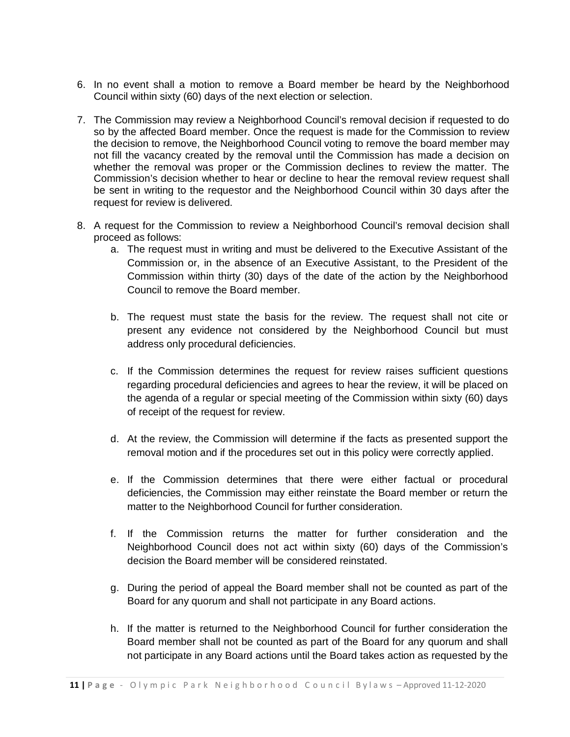- 6. In no event shall a motion to remove a Board member be heard by the Neighborhood Council within sixty (60) days of the next election or selection.
- 7. The Commission may review a Neighborhood Council's removal decision if requested to do so by the affected Board member. Once the request is made for the Commission to review the decision to remove, the Neighborhood Council voting to remove the board member may not fill the vacancy created by the removal until the Commission has made a decision on whether the removal was proper or the Commission declines to review the matter. The Commission's decision whether to hear or decline to hear the removal review request shall be sent in writing to the requestor and the Neighborhood Council within 30 days after the request for review is delivered.
- 8. A request for the Commission to review a Neighborhood Council's removal decision shall proceed as follows:
	- a. The request must in writing and must be delivered to the Executive Assistant of the Commission or, in the absence of an Executive Assistant, to the President of the Commission within thirty (30) days of the date of the action by the Neighborhood Council to remove the Board member.
	- b. The request must state the basis for the review. The request shall not cite or present any evidence not considered by the Neighborhood Council but must address only procedural deficiencies.
	- c. If the Commission determines the request for review raises sufficient questions regarding procedural deficiencies and agrees to hear the review, it will be placed on the agenda of a regular or special meeting of the Commission within sixty (60) days of receipt of the request for review.
	- d. At the review, the Commission will determine if the facts as presented support the removal motion and if the procedures set out in this policy were correctly applied.
	- e. If the Commission determines that there were either factual or procedural deficiencies, the Commission may either reinstate the Board member or return the matter to the Neighborhood Council for further consideration.
	- f. If the Commission returns the matter for further consideration and the Neighborhood Council does not act within sixty (60) days of the Commission's decision the Board member will be considered reinstated.
	- g. During the period of appeal the Board member shall not be counted as part of the Board for any quorum and shall not participate in any Board actions.
	- h. If the matter is returned to the Neighborhood Council for further consideration the Board member shall not be counted as part of the Board for any quorum and shall not participate in any Board actions until the Board takes action as requested by the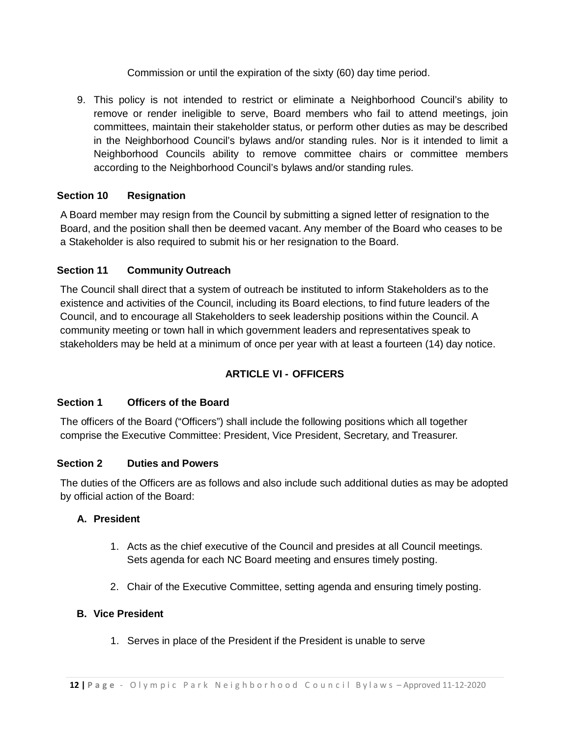Commission or until the expiration of the sixty (60) day time period.

9. This policy is not intended to restrict or eliminate a Neighborhood Council's ability to remove or render ineligible to serve, Board members who fail to attend meetings, join committees, maintain their stakeholder status, or perform other duties as may be described in the Neighborhood Council's bylaws and/or standing rules. Nor is it intended to limit a Neighborhood Councils ability to remove committee chairs or committee members according to the Neighborhood Council's bylaws and/or standing rules.

# <span id="page-11-0"></span>**Section 10 Resignation**

A Board member may resign from the Council by submitting a signed letter of resignation to the Board, and the position shall then be deemed vacant. Any member of the Board who ceases to be a Stakeholder is also required to submit his or her resignation to the Board.

# <span id="page-11-1"></span>**Section 11 Community Outreach**

The Council shall direct that a system of outreach be instituted to inform Stakeholders as to the existence and activities of the Council, including its Board elections, to find future leaders of the Council, and to encourage all Stakeholders to seek leadership positions within the Council. A community meeting or town hall in which government leaders and representatives speak to stakeholders may be held at a minimum of once per year with at least a fourteen (14) day notice.

# **ARTICLE VI - OFFICERS**

## <span id="page-11-3"></span><span id="page-11-2"></span>**Section 1 Officers of the Board**

The officers of the Board ("Officers") shall include the following positions which all together comprise the Executive Committee: President, Vice President, Secretary, and Treasurer.

## <span id="page-11-4"></span>**Section 2 Duties and Powers**

The duties of the Officers are as follows and also include such additional duties as may be adopted by official action of the Board:

## **A. President**

- 1. Acts as the chief executive of the Council and presides at all Council meetings. Sets agenda for each NC Board meeting and ensures timely posting.
- 2. Chair of the Executive Committee, setting agenda and ensuring timely posting.

## **B. Vice President**

1. Serves in place of the President if the President is unable to serve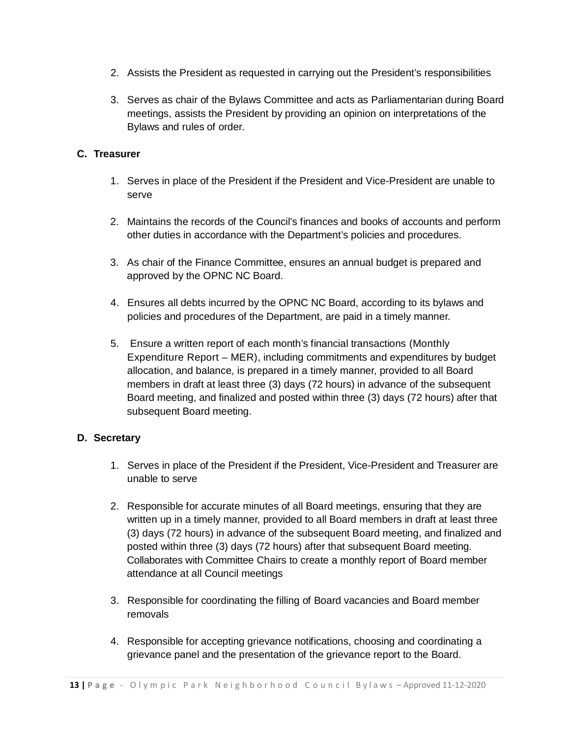- 2. Assists the President as requested in carrying out the President's responsibilities
- 3. Serves as chair of the Bylaws Committee and acts as Parliamentarian during Board meetings, assists the President by providing an opinion on interpretations of the Bylaws and rules of order.

#### **C. Treasurer**

- 1. Serves in place of the President if the President and Vice-President are unable to serve
- 2. Maintains the records of the Council's finances and books of accounts and perform other duties in accordance with the Department's policies and procedures.
- 3. As chair of the Finance Committee, ensures an annual budget is prepared and approved by the OPNC NC Board.
- 4. Ensures all debts incurred by the OPNC NC Board, according to its bylaws and policies and procedures of the Department, are paid in a timely manner.
- 5. Ensure a written report of each month's financial transactions (Monthly Expenditure Report – MER), including commitments and expenditures by budget allocation, and balance, is prepared in a timely manner, provided to all Board members in draft at least three (3) days (72 hours) in advance of the subsequent Board meeting, and finalized and posted within three (3) days (72 hours) after that subsequent Board meeting.

#### **D. Secretary**

- 1. Serves in place of the President if the President, Vice-President and Treasurer are unable to serve
- 2. Responsible for accurate minutes of all Board meetings, ensuring that they are written up in a timely manner, provided to all Board members in draft at least three (3) days (72 hours) in advance of the subsequent Board meeting, and finalized and posted within three (3) days (72 hours) after that subsequent Board meeting. Collaborates with Committee Chairs to create a monthly report of Board member attendance at all Council meetings
- 3. Responsible for coordinating the filling of Board vacancies and Board member removals
- 4. Responsible for accepting grievance notifications, choosing and coordinating a grievance panel and the presentation of the grievance report to the Board.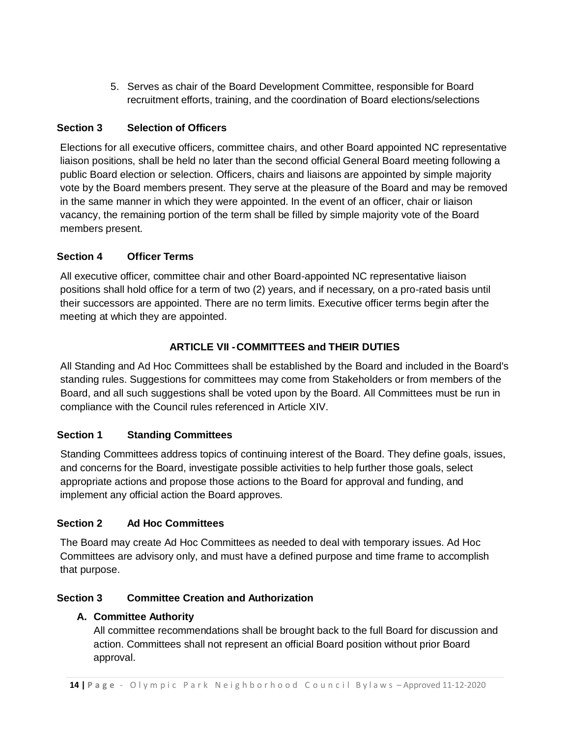5. Serves as chair of the Board Development Committee, responsible for Board recruitment efforts, training, and the coordination of Board elections/selections

## <span id="page-13-0"></span>**Section 3 Selection of Officers**

Elections for all executive officers, committee chairs, and other Board appointed NC representative liaison positions, shall be held no later than the second official General Board meeting following a public Board election or selection. Officers, chairs and liaisons are appointed by simple majority vote by the Board members present. They serve at the pleasure of the Board and may be removed in the same manner in which they were appointed. In the event of an officer, chair or liaison vacancy, the remaining portion of the term shall be filled by simple majority vote of the Board members present.

# <span id="page-13-1"></span>**Section 4 Officer Terms**

All executive officer, committee chair and other Board-appointed NC representative liaison positions shall hold office for a term of two (2) years, and if necessary, on a pro-rated basis until their successors are appointed. There are no term limits. Executive officer terms begin after the meeting at which they are appointed.

# **ARTICLE VII -COMMITTEES and THEIR DUTIES**

<span id="page-13-2"></span>All Standing and Ad Hoc Committees shall be established by the Board and included in the Board's standing rules. Suggestions for committees may come from Stakeholders or from members of the Board, and all such suggestions shall be voted upon by the Board. All Committees must be run in compliance with the Council rules referenced in Article XIV.

## <span id="page-13-3"></span>**Section 1 Standing Committees**

Standing Committees address topics of continuing interest of the Board. They define goals, issues, and concerns for the Board, investigate possible activities to help further those goals, select appropriate actions and propose those actions to the Board for approval and funding, and implement any official action the Board approves.

## <span id="page-13-4"></span>**Section 2 Ad Hoc Committees**

The Board may create Ad Hoc Committees as needed to deal with temporary issues. Ad Hoc Committees are advisory only, and must have a defined purpose and time frame to accomplish that purpose.

## <span id="page-13-5"></span>**Section 3 Committee Creation and Authorization**

## **A. Committee Authority**

All committee recommendations shall be brought back to the full Board for discussion and action. Committees shall not represent an official Board position without prior Board approval.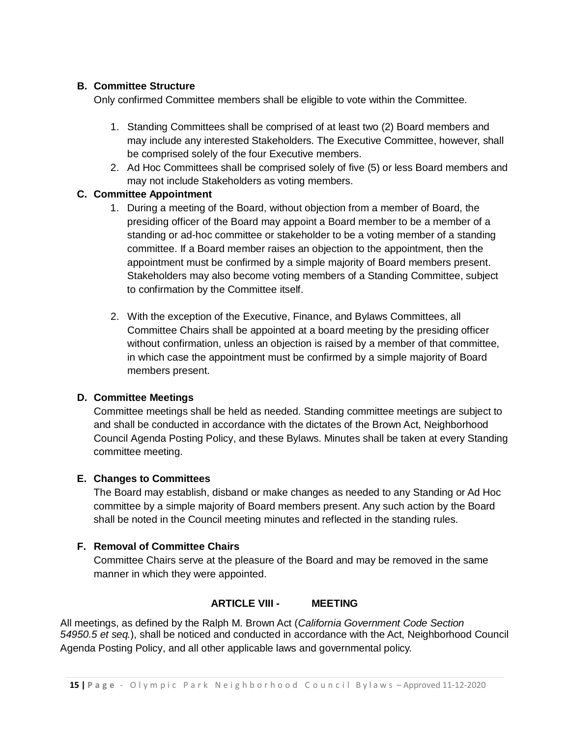#### **B. Committee Structure**

Only confirmed Committee members shall be eligible to vote within the Committee.

- 1. Standing Committees shall be comprised of at least two (2) Board members and may include any interested Stakeholders. The Executive Committee, however, shall be comprised solely of the four Executive members.
- 2. Ad Hoc Committees shall be comprised solely of five (5) or less Board members and may not include Stakeholders as voting members.

#### **C. Committee Appointment**

- 1. During a meeting of the Board, without objection from a member of Board, the presiding officer of the Board may appoint a Board member to be a member of a standing or ad-hoc committee or stakeholder to be a voting member of a standing committee. If a Board member raises an objection to the appointment, then the appointment must be confirmed by a simple majority of Board members present. Stakeholders may also become voting members of a Standing Committee, subject to confirmation by the Committee itself.
- 2. With the exception of the Executive, Finance, and Bylaws Committees, all Committee Chairs shall be appointed at a board meeting by the presiding officer without confirmation, unless an objection is raised by a member of that committee, in which case the appointment must be confirmed by a simple majority of Board members present.

## **D. Committee Meetings**

Committee meetings shall be held as needed. Standing committee meetings are subject to and shall be conducted in accordance with the dictates of the Brown Act, Neighborhood Council Agenda Posting Policy, and these Bylaws. Minutes shall be taken at every Standing committee meeting.

#### **E. Changes to Committees**

The Board may establish, disband or make changes as needed to any Standing or Ad Hoc committee by a simple majority of Board members present. Any such action by the Board shall be noted in the Council meeting minutes and reflected in the standing rules.

#### **F. Removal of Committee Chairs**

Committee Chairs serve at the pleasure of the Board and may be removed in the same manner in which they were appointed.

#### **ARTICLE VIII - MEETING**

<span id="page-14-0"></span>All meetings, as defined by the Ralph M. Brown Act (*California Government Code Section 54950.5 et seq.*), shall be noticed and conducted in accordance with the Act, Neighborhood Council Agenda Posting Policy, and all other applicable laws and governmental policy.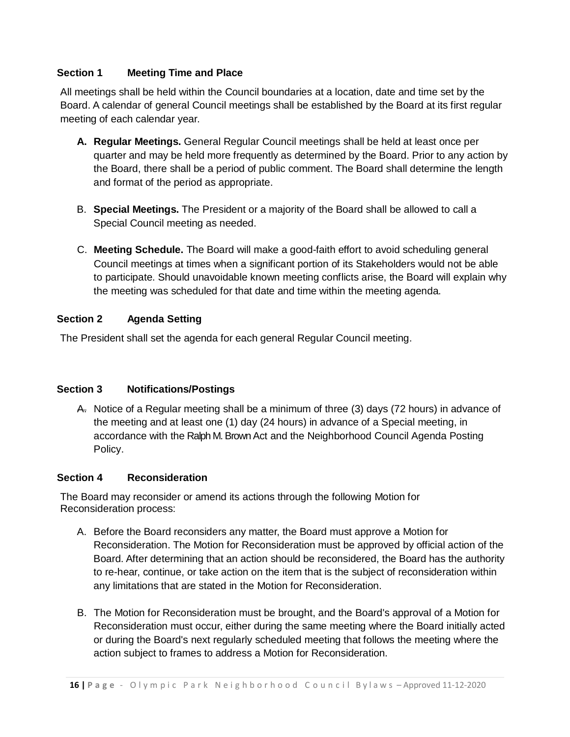#### <span id="page-15-0"></span>**Section 1 Meeting Time and Place**

All meetings shall be held within the Council boundaries at a location, date and time set by the Board. A calendar of general Council meetings shall be established by the Board at its first regular meeting of each calendar year.

- **A. Regular Meetings.** General Regular Council meetings shall be held at least once per quarter and may be held more frequently as determined by the Board. Prior to any action by the Board, there shall be a period of public comment. The Board shall determine the length and format of the period as appropriate.
- B. **Special Meetings.** The President or a majority of the Board shall be allowed to call a Special Council meeting as needed.
- C. **Meeting Schedule.** The Board will make a good-faith effort to avoid scheduling general Council meetings at times when a significant portion of its Stakeholders would not be able to participate. Should unavoidable known meeting conflicts arise, the Board will explain why the meeting was scheduled for that date and time within the meeting agenda.

## <span id="page-15-1"></span>**Section 2 Agenda Setting**

The President shall set the agenda for each general Regular Council meeting.

## <span id="page-15-2"></span>**Section 3 Notifications/Postings**

A. Notice of a Regular meeting shall be a minimum of three (3) days (72 hours) in advance of the meeting and at least one (1) day (24 hours) in advance of a Special meeting, in accordance with the Ralph M. Brown Act and the Neighborhood Council Agenda Posting Policy.

## <span id="page-15-3"></span>**Section 4 Reconsideration**

The Board may reconsider or amend its actions through the following Motion for Reconsideration process:

- A. Before the Board reconsiders any matter, the Board must approve a Motion for Reconsideration. The Motion for Reconsideration must be approved by official action of the Board. After determining that an action should be reconsidered, the Board has the authority to re-hear, continue, or take action on the item that is the subject of reconsideration within any limitations that are stated in the Motion for Reconsideration.
- B. The Motion for Reconsideration must be brought, and the Board's approval of a Motion for Reconsideration must occur, either during the same meeting where the Board initially acted or during the Board's next regularly scheduled meeting that follows the meeting where the action subject to frames to address a Motion for Reconsideration.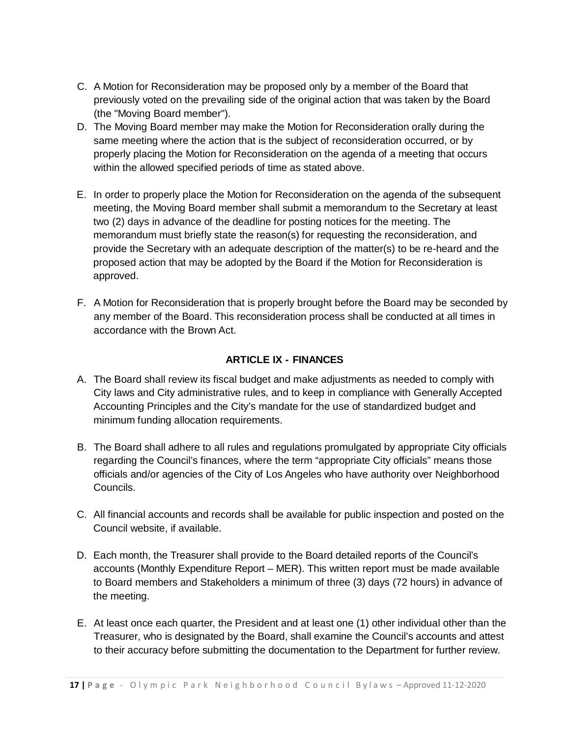- C. A Motion for Reconsideration may be proposed only by a member of the Board that previously voted on the prevailing side of the original action that was taken by the Board (the "Moving Board member").
- D. The Moving Board member may make the Motion for Reconsideration orally during the same meeting where the action that is the subject of reconsideration occurred, or by properly placing the Motion for Reconsideration on the agenda of a meeting that occurs within the allowed specified periods of time as stated above.
- E. In order to properly place the Motion for Reconsideration on the agenda of the subsequent meeting, the Moving Board member shall submit a memorandum to the Secretary at least two (2) days in advance of the deadline for posting notices for the meeting. The memorandum must briefly state the reason(s) for requesting the reconsideration, and provide the Secretary with an adequate description of the matter(s) to be re-heard and the proposed action that may be adopted by the Board if the Motion for Reconsideration is approved.
- F. A Motion for Reconsideration that is properly brought before the Board may be seconded by any member of the Board. This reconsideration process shall be conducted at all times in accordance with the Brown Act.

# **ARTICLE IX - FINANCES**

- <span id="page-16-0"></span>A. The Board shall review its fiscal budget and make adjustments as needed to comply with City laws and City administrative rules, and to keep in compliance with Generally Accepted Accounting Principles and the City's mandate for the use of standardized budget and minimum funding allocation requirements.
- B. The Board shall adhere to all rules and regulations promulgated by appropriate City officials regarding the Council's finances, where the term "appropriate City officials" means those officials and/or agencies of the City of Los Angeles who have authority over Neighborhood Councils.
- C. All financial accounts and records shall be available for public inspection and posted on the Council website, if available.
- D. Each month, the Treasurer shall provide to the Board detailed reports of the Council's accounts (Monthly Expenditure Report – MER). This written report must be made available to Board members and Stakeholders a minimum of three (3) days (72 hours) in advance of the meeting.
- E. At least once each quarter, the President and at least one (1) other individual other than the Treasurer, who is designated by the Board, shall examine the Council's accounts and attest to their accuracy before submitting the documentation to the Department for further review.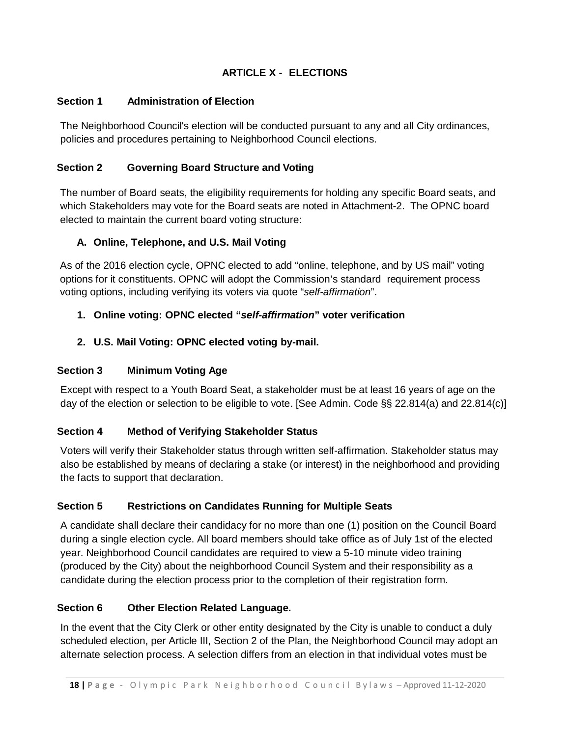# **ARTICLE X - ELECTIONS**

#### <span id="page-17-1"></span><span id="page-17-0"></span>**Section 1 Administration of Election**

The Neighborhood Council's election will be conducted pursuant to any and all City ordinances, policies and procedures pertaining to Neighborhood Council elections.

## <span id="page-17-2"></span>**Section 2 Governing Board Structure and Voting**

The number of Board seats, the eligibility requirements for holding any specific Board seats, and which Stakeholders may vote for the Board seats are noted in Attachment-2. The OPNC board elected to maintain the current board voting structure:

#### **A. Online, Telephone, and U.S. Mail Voting**

As of the 2016 election cycle, OPNC elected to add "online, telephone, and by US mail" voting options for it constituents. OPNC will adopt the Commission's standard requirement process voting options, including verifying its voters via quote "*self-affirmation*".

## **1. Online voting: OPNC elected "***self-affirmation***" voter verification**

#### **2. U.S. Mail Voting: OPNC elected voting by-mail.**

#### <span id="page-17-3"></span>**Section 3 Minimum Voting Age**

Except with respect to a Youth Board Seat, a stakeholder must be at least 16 years of age on the day of the election or selection to be eligible to vote. [See Admin. Code §§ 22.814(a) and 22.814(c)]

## <span id="page-17-4"></span>**Section 4 Method of Verifying Stakeholder Status**

Voters will verify their Stakeholder status through written self-affirmation. Stakeholder status may also be established by means of declaring a stake (or interest) in the neighborhood and providing the facts to support that declaration.

#### <span id="page-17-5"></span>**Section 5 Restrictions on Candidates Running for Multiple Seats**

A candidate shall declare their candidacy for no more than one (1) position on the Council Board during a single election cycle. All board members should take office as of July 1st of the elected year. Neighborhood Council candidates are required to view a 5-10 minute video training (produced by the City) about the neighborhood Council System and their responsibility as a candidate during the election process prior to the completion of their registration form.

#### <span id="page-17-6"></span>**Section 6 Other Election Related Language.**

In the event that the City Clerk or other entity designated by the City is unable to conduct a duly scheduled election, per Article III, Section 2 of the Plan, the Neighborhood Council may adopt an alternate selection process. A selection differs from an election in that individual votes must be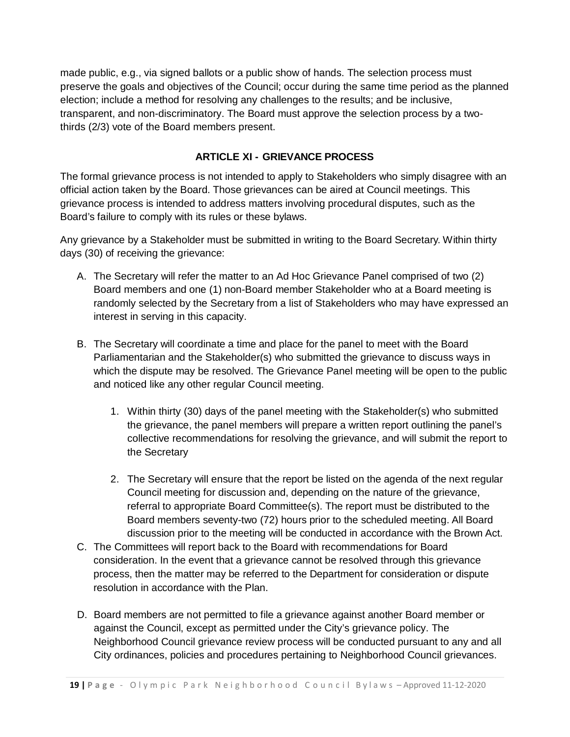made public, e.g., via signed ballots or a public show of hands. The selection process must preserve the goals and objectives of the Council; occur during the same time period as the planned election; include a method for resolving any challenges to the results; and be inclusive, transparent, and non-discriminatory. The Board must approve the selection process by a twothirds (2/3) vote of the Board members present.

## **ARTICLE XI - GRIEVANCE PROCESS**

<span id="page-18-0"></span>The formal grievance process is not intended to apply to Stakeholders who simply disagree with an official action taken by the Board. Those grievances can be aired at Council meetings. This grievance process is intended to address matters involving procedural disputes, such as the Board's failure to comply with its rules or these bylaws.

Any grievance by a Stakeholder must be submitted in writing to the Board Secretary. Within thirty days (30) of receiving the grievance:

- A. The Secretary will refer the matter to an Ad Hoc Grievance Panel comprised of two (2) Board members and one (1) non-Board member Stakeholder who at a Board meeting is randomly selected by the Secretary from a list of Stakeholders who may have expressed an interest in serving in this capacity.
- B. The Secretary will coordinate a time and place for the panel to meet with the Board Parliamentarian and the Stakeholder(s) who submitted the grievance to discuss ways in which the dispute may be resolved. The Grievance Panel meeting will be open to the public and noticed like any other regular Council meeting.
	- 1. Within thirty (30) days of the panel meeting with the Stakeholder(s) who submitted the grievance, the panel members will prepare a written report outlining the panel's collective recommendations for resolving the grievance, and will submit the report to the Secretary
	- 2. The Secretary will ensure that the report be listed on the agenda of the next regular Council meeting for discussion and, depending on the nature of the grievance, referral to appropriate Board Committee(s). The report must be distributed to the Board members seventy-two (72) hours prior to the scheduled meeting. All Board discussion prior to the meeting will be conducted in accordance with the Brown Act.
- C. The Committees will report back to the Board with recommendations for Board consideration. In the event that a grievance cannot be resolved through this grievance process, then the matter may be referred to the Department for consideration or dispute resolution in accordance with the Plan.
- D. Board members are not permitted to file a grievance against another Board member or against the Council, except as permitted under the City's grievance policy. The Neighborhood Council grievance review process will be conducted pursuant to any and all City ordinances, policies and procedures pertaining to Neighborhood Council grievances.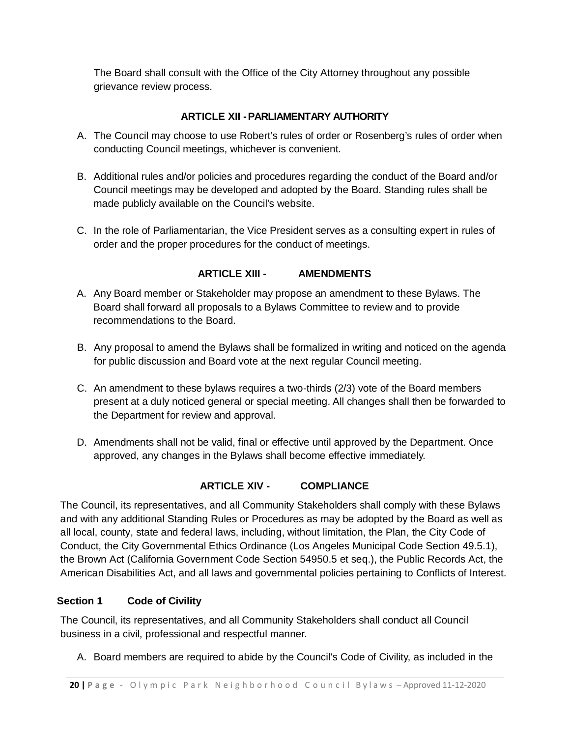The Board shall consult with the Office of the City Attorney throughout any possible grievance review process.

# **ARTICLE XII -PARLIAMENTARY AUTHORITY**

- <span id="page-19-0"></span>A. The Council may choose to use Robert's rules of order or Rosenberg's rules of order when conducting Council meetings, whichever is convenient.
- B. Additional rules and/or policies and procedures regarding the conduct of the Board and/or Council meetings may be developed and adopted by the Board. Standing rules shall be made publicly available on the Council's website.
- C. In the role of Parliamentarian, the Vice President serves as a consulting expert in rules of order and the proper procedures for the conduct of meetings.

# **ARTICLE XIII - AMENDMENTS**

- <span id="page-19-1"></span>A. Any Board member or Stakeholder may propose an amendment to these Bylaws. The Board shall forward all proposals to a Bylaws Committee to review and to provide recommendations to the Board.
- B. Any proposal to amend the Bylaws shall be formalized in writing and noticed on the agenda for public discussion and Board vote at the next regular Council meeting.
- C. An amendment to these bylaws requires a two-thirds (2/3) vote of the Board members present at a duly noticed general or special meeting. All changes shall then be forwarded to the Department for review and approval.
- D. Amendments shall not be valid, final or effective until approved by the Department. Once approved, any changes in the Bylaws shall become effective immediately.

# **ARTICLE XIV - COMPLIANCE**

<span id="page-19-2"></span>The Council, its representatives, and all Community Stakeholders shall comply with these Bylaws and with any additional Standing Rules or Procedures as may be adopted by the Board as well as all local, county, state and federal laws, including, without limitation, the Plan, the City Code of Conduct, the City Governmental Ethics Ordinance (Los Angeles Municipal Code Section 49.5.1), the Brown Act (California Government Code Section 54950.5 et seq.), the Public Records Act, the American Disabilities Act, and all laws and governmental policies pertaining to Conflicts of Interest.

# <span id="page-19-3"></span>**Section 1 Code of Civility**

The Council, its representatives, and all Community Stakeholders shall conduct all Council business in a civil, professional and respectful manner.

A. Board members are required to abide by the Council's Code of Civility, as included in the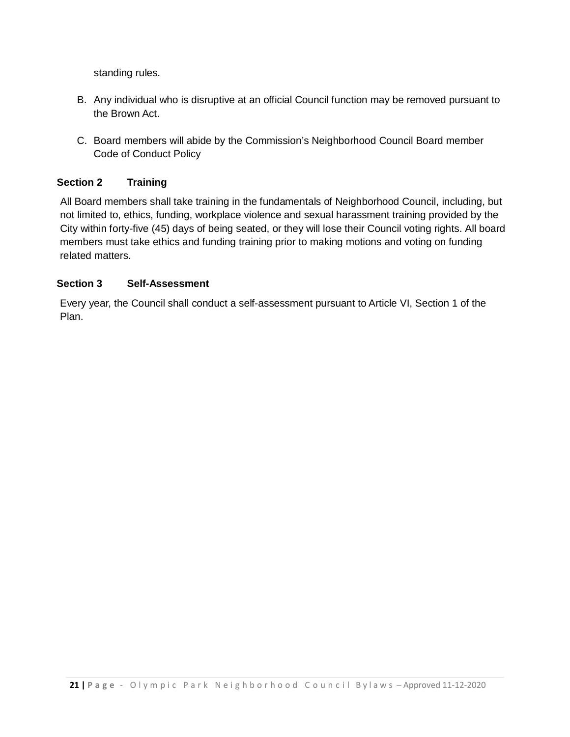standing rules.

- B. Any individual who is disruptive at an official Council function may be removed pursuant to the Brown Act.
- C. Board members will abide by the Commission's Neighborhood Council Board member Code of Conduct Policy

## <span id="page-20-0"></span>**Section 2 Training**

All Board members shall take training in the fundamentals of Neighborhood Council, including, but not limited to, ethics, funding, workplace violence and sexual harassment training provided by the City within forty-five (45) days of being seated, or they will lose their Council voting rights. All board members must take ethics and funding training prior to making motions and voting on funding related matters.

#### <span id="page-20-1"></span>**Section 3 Self-Assessment**

Every year, the Council shall conduct a self-assessment pursuant to Article VI, Section 1 of the Plan.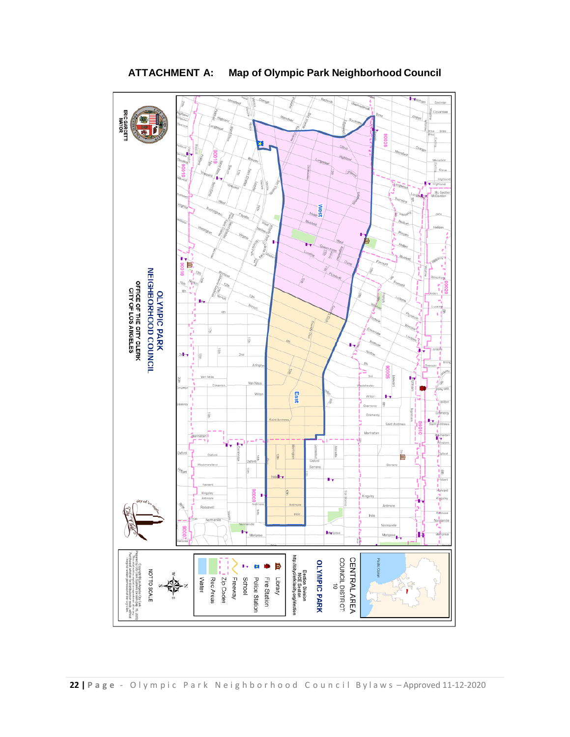<span id="page-21-0"></span>

# **ATTACHMENT A: Map of Olympic Park Neighborhood Council**